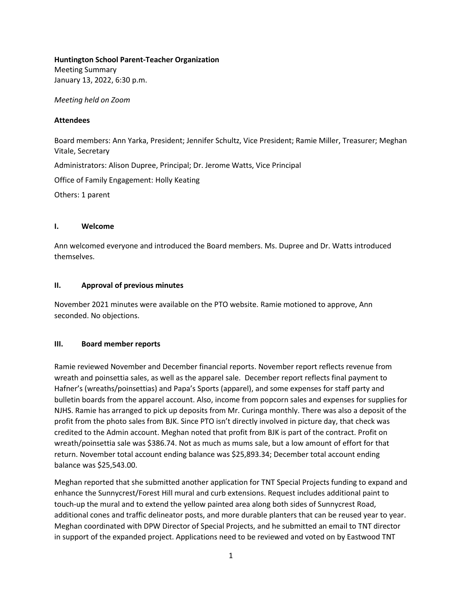#### **Huntington School Parent-Teacher Organization**

Meeting Summary January 13, 2022, 6:30 p.m.

*Meeting held on Zoom* 

## **Attendees**

Board members: Ann Yarka, President; Jennifer Schultz, Vice President; Ramie Miller, Treasurer; Meghan Vitale, Secretary Administrators: Alison Dupree, Principal; Dr. Jerome Watts, Vice Principal Office of Family Engagement: Holly Keating Others: 1 parent

#### **I. Welcome**

Ann welcomed everyone and introduced the Board members. Ms. Dupree and Dr. Watts introduced themselves.

## **II. Approval of previous minutes**

November 2021 minutes were available on the PTO website. Ramie motioned to approve, Ann seconded. No objections.

## **III. Board member reports**

Ramie reviewed November and December financial reports. November report reflects revenue from wreath and poinsettia sales, as well as the apparel sale. December report reflects final payment to Hafner's (wreaths/poinsettias) and Papa's Sports (apparel), and some expenses for staff party and bulletin boards from the apparel account. Also, income from popcorn sales and expenses for supplies for NJHS. Ramie has arranged to pick up deposits from Mr. Curinga monthly. There was also a deposit of the profit from the photo sales from BJK. Since PTO isn't directly involved in picture day, that check was credited to the Admin account. Meghan noted that profit from BJK is part of the contract. Profit on wreath/poinsettia sale was \$386.74. Not as much as mums sale, but a low amount of effort for that return. November total account ending balance was \$25,893.34; December total account ending balance was \$25,543.00.

Meghan reported that she submitted another application for TNT Special Projects funding to expand and enhance the Sunnycrest/Forest Hill mural and curb extensions. Request includes additional paint to touch-up the mural and to extend the yellow painted area along both sides of Sunnycrest Road, additional cones and traffic delineator posts, and more durable planters that can be reused year to year. Meghan coordinated with DPW Director of Special Projects, and he submitted an email to TNT director in support of the expanded project. Applications need to be reviewed and voted on by Eastwood TNT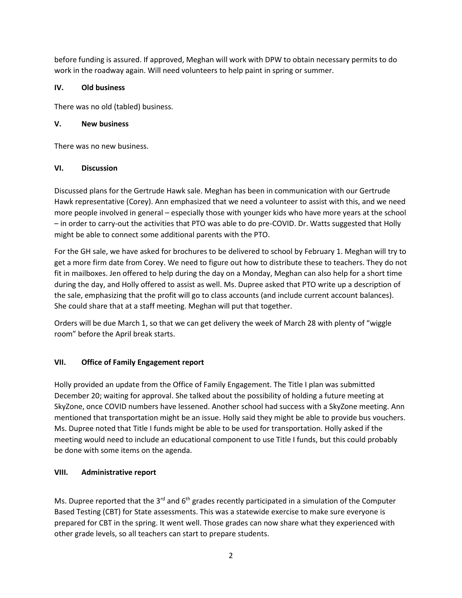before funding is assured. If approved, Meghan will work with DPW to obtain necessary permits to do work in the roadway again. Will need volunteers to help paint in spring or summer.

## **IV. Old business**

There was no old (tabled) business.

## **V. New business**

There was no new business.

## **VI. Discussion**

Discussed plans for the Gertrude Hawk sale. Meghan has been in communication with our Gertrude Hawk representative (Corey). Ann emphasized that we need a volunteer to assist with this, and we need more people involved in general – especially those with younger kids who have more years at the school – in order to carry-out the activities that PTO was able to do pre-COVID. Dr. Watts suggested that Holly might be able to connect some additional parents with the PTO.

For the GH sale, we have asked for brochures to be delivered to school by February 1. Meghan will try to get a more firm date from Corey. We need to figure out how to distribute these to teachers. They do not fit in mailboxes. Jen offered to help during the day on a Monday, Meghan can also help for a short time during the day, and Holly offered to assist as well. Ms. Dupree asked that PTO write up a description of the sale, emphasizing that the profit will go to class accounts (and include current account balances). She could share that at a staff meeting. Meghan will put that together.

Orders will be due March 1, so that we can get delivery the week of March 28 with plenty of "wiggle room" before the April break starts.

# **VII. Office of Family Engagement report**

Holly provided an update from the Office of Family Engagement. The Title I plan was submitted December 20; waiting for approval. She talked about the possibility of holding a future meeting at SkyZone, once COVID numbers have lessened. Another school had success with a SkyZone meeting. Ann mentioned that transportation might be an issue. Holly said they might be able to provide bus vouchers. Ms. Dupree noted that Title I funds might be able to be used for transportation. Holly asked if the meeting would need to include an educational component to use Title I funds, but this could probably be done with some items on the agenda.

# **VIII. Administrative report**

Ms. Dupree reported that the 3<sup>rd</sup> and 6<sup>th</sup> grades recently participated in a simulation of the Computer Based Testing (CBT) for State assessments. This was a statewide exercise to make sure everyone is prepared for CBT in the spring. It went well. Those grades can now share what they experienced with other grade levels, so all teachers can start to prepare students.